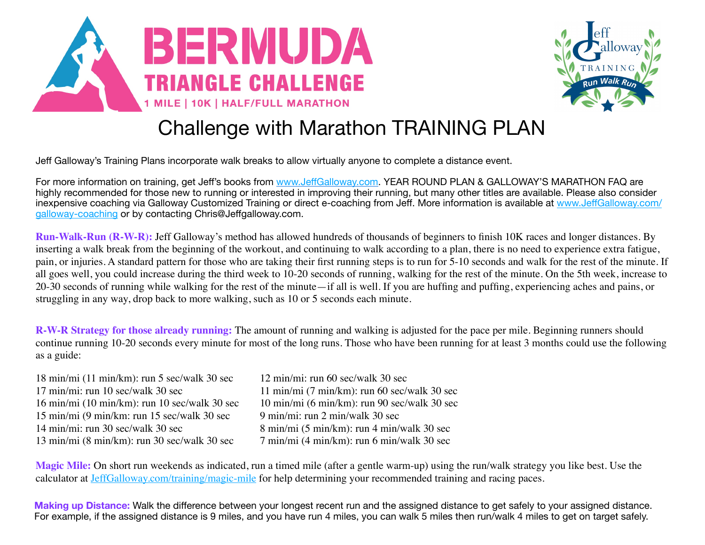



## Challenge with Marathon TRAINING PLAN

Jeff Galloway's Training Plans incorporate walk breaks to allow virtually anyone to complete a distance event.

For more information on training, get Jeff's books from www.Jeff[Galloway.com.](http://www.jeffgalloway.com/) YEAR ROUND PLAN & GALLOWAY'S MARATHON FAQ are highly recommended for those new to running or interested in improving their running, but many other titles are available. Please also consider inexpensive coaching via Galloway Customized Training or direct e-coaching from Jeff. More information is available at www.Jeff[Galloway.com/](http://www.jeffgalloway.com/galloway-coaching) [galloway-coaching](http://www.jeffgalloway.com/galloway-coaching) or by contacting Chris@Jeffgalloway.com.

**Run-Walk-Run (R-W-R):** Jeff Galloway's method has allowed hundreds of thousands of beginners to finish 10K races and longer distances. By inserting a walk break from the beginning of the workout, and continuing to walk according to a plan, there is no need to experience extra fatigue, pain, or injuries. A standard pattern for those who are taking their first running steps is to run for 5-10 seconds and walk for the rest of the minute. If all goes well, you could increase during the third week to 10-20 seconds of running, walking for the rest of the minute. On the 5th week, increase to 20-30 seconds of running while walking for the rest of the minute—if all is well. If you are huffing and puffing, experiencing aches and pains, or struggling in any way, drop back to more walking, such as 10 or 5 seconds each minute.

**R-W-R Strategy for those already running:** The amount of running and walking is adjusted for the pace per mile. Beginning runners should continue running 10-20 seconds every minute for most of the long runs. Those who have been running for at least 3 months could use the following as a guide:

| $18 \text{ min/min}$ (11 min/km): run 5 sec/walk 30 sec          | 12 min/mi: run 60 sec/walk 30 sec                       |
|------------------------------------------------------------------|---------------------------------------------------------|
| 17 min/mi: run 10 sec/walk 30 sec                                | $11 \text{ min/min}$ (7 min/km): run 60 sec/walk 30 sec |
| $16 \text{ min/min}$ (10 min/km): run 10 sec/walk 30 sec         | 10 min/mi (6 min/km): run 90 sec/walk 30 sec            |
| $15 \text{ min/min}$ (9 min/km: run $15 \text{ sec/walk}$ 30 sec | 9 min/mi: run 2 min/walk 30 sec                         |
| 14 min/mi: run 30 sec/walk 30 sec                                | 8 min/mi (5 min/km): run 4 min/walk 30 sec              |
| $13 \text{ min/min}$ (8 min/km): run 30 sec/walk 30 sec          | $7 \text{ min/min}$ (4 min/km): run 6 min/walk 30 sec   |
|                                                                  |                                                         |

**Magic Mile:** On short run weekends as indicated, run a timed mile (after a gentle warm-up) using the run/walk strategy you like best. Use the calculator at [JeffGalloway.com/training/magic-mile](http://JeffGalloway.com/training/magic-mile) for help determining your recommended training and racing paces.

**Making up Distance:** Walk the difference between your longest recent run and the assigned distance to get safely to your assigned distance. For example, if the assigned distance is 9 miles, and you have run 4 miles, you can walk 5 miles then run/walk 4 miles to get on target safely.